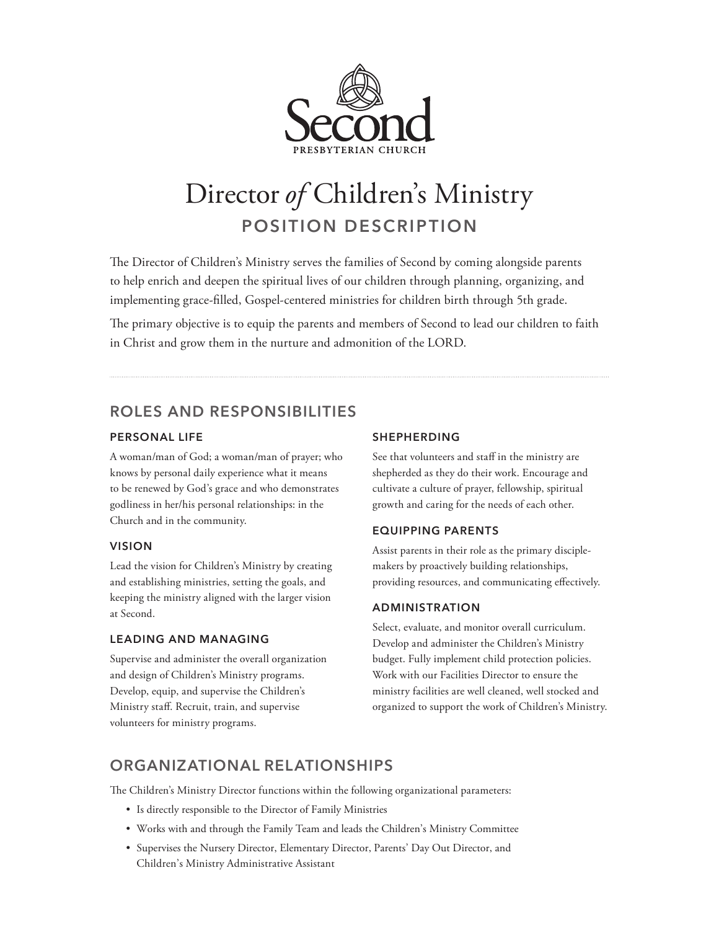

### Director *of* Children's Ministry **POSITION DESCRIPTION**

The Director of Children's Ministry serves the families of Second by coming alongside parents to help enrich and deepen the spiritual lives of our children through planning, organizing, and implementing grace-filled, Gospel-centered ministries for children birth through 5th grade.

The primary objective is to equip the parents and members of Second to lead our children to faith in Christ and grow them in the nurture and admonition of the LORD.

#### **ROLES AND RESPONSIBILITIES**

#### **PERSONAL LIFE**

A woman/man of God; a woman/man of prayer; who knows by personal daily experience what it means to be renewed by God's grace and who demonstrates godliness in her/his personal relationships: in the Church and in the community.

#### **VISION**

Lead the vision for Children's Ministry by creating and establishing ministries, setting the goals, and keeping the ministry aligned with the larger vision at Second.

#### **LEADING AND MANAGING**

Supervise and administer the overall organization and design of Children's Ministry programs. Develop, equip, and supervise the Children's Ministry staff. Recruit, train, and supervise volunteers for ministry programs.

#### **SHEPHERDING**

See that volunteers and staff in the ministry are shepherded as they do their work. Encourage and cultivate a culture of prayer, fellowship, spiritual growth and caring for the needs of each other.

#### **EQUIPPING PARENTS**

Assist parents in their role as the primary disciplemakers by proactively building relationships, providing resources, and communicating effectively.

#### **ADMINISTRATION**

Select, evaluate, and monitor overall curriculum. Develop and administer the Children's Ministry budget. Fully implement child protection policies. Work with our Facilities Director to ensure the ministry facilities are well cleaned, well stocked and organized to support the work of Children's Ministry.

#### **ORGANIZATIONAL RELATIONSHIPS**

The Children's Ministry Director functions within the following organizational parameters:

- Is directly responsible to the Director of Family Ministries
- Works with and through the Family Team and leads the Children's Ministry Committee
- Supervises the Nursery Director, Elementary Director, Parents' Day Out Director, and Children's Ministry Administrative Assistant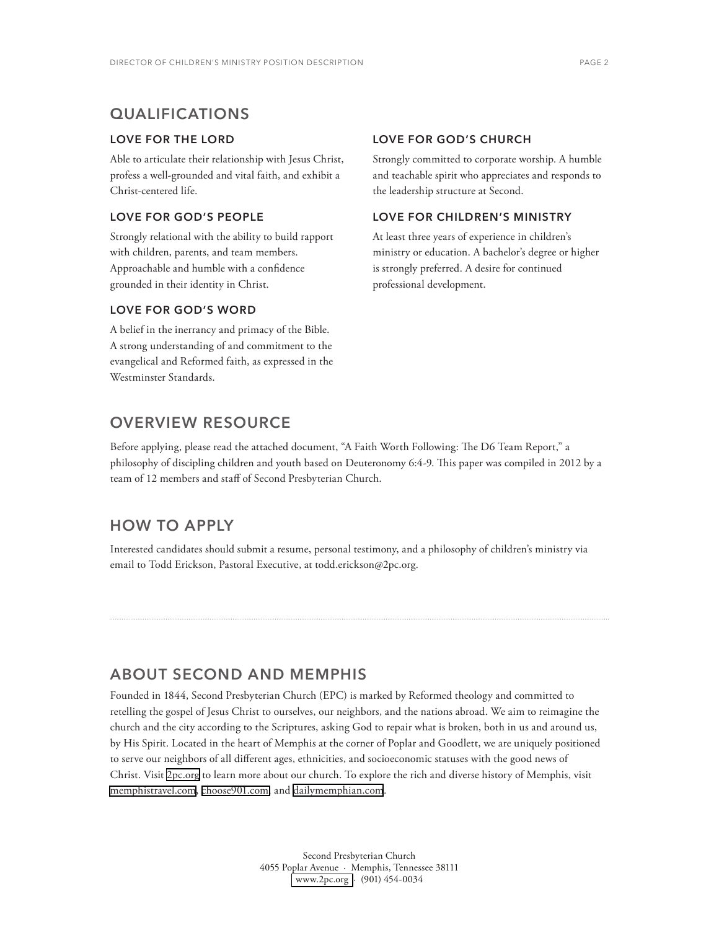#### **QUALIFICATIONS**

#### **LOVE FOR THE LORD**

Able to articulate their relationship with Jesus Christ, profess a well-grounded and vital faith, and exhibit a Christ-centered life.

#### **LOVE FOR GOD'S PEOPLE**

Strongly relational with the ability to build rapport with children, parents, and team members. Approachable and humble with a confidence grounded in their identity in Christ.

#### **LOVE FOR GOD'S WORD**

A belief in the inerrancy and primacy of the Bible. A strong understanding of and commitment to the evangelical and Reformed faith, as expressed in the Westminster Standards.

#### **LOVE FOR GOD'S CHURCH**

Strongly committed to corporate worship. A humble and teachable spirit who appreciates and responds to the leadership structure at Second.

#### **LOVE FOR CHILDREN'S MINISTRY**

At least three years of experience in children's ministry or education. A bachelor's degree or higher is strongly preferred. A desire for continued professional development.

#### **OVERVIEW RESOURCE**

Before applying, please read the attached document, "A Faith Worth Following: The D6 Team Report," a philosophy of discipling children and youth based on Deuteronomy 6:4-9. This paper was compiled in 2012 by a team of 12 members and staff of Second Presbyterian Church.

#### **HOW TO APPLY**

Interested candidates should submit a resume, personal testimony, and a philosophy of children's ministry via email to Todd Erickson, Pastoral Executive, at todd.erickson@2pc.org.

#### **ABOUT SECOND AND MEMPHIS**

Founded in 1844, Second Presbyterian Church (EPC) is marked by Reformed theology and committed to retelling the gospel of Jesus Christ to ourselves, our neighbors, and the nations abroad. We aim to reimagine the church and the city according to the Scriptures, asking God to repair what is broken, both in us and around us, by His Spirit. Located in the heart of Memphis at the corner of Poplar and Goodlett, we are uniquely positioned to serve our neighbors of all different ages, ethnicities, and socioeconomic statuses with the good news of Christ. Visit [2pc.org](www.2pc.org) to learn more about our church. To explore the rich and diverse history of Memphis, visit [memphistravel.com,](www.memphistravel.com) [choose901.com,](www.choose901.com) and [dailymemphian.com](www.dailymemphian.com).

> Second Presbyterian Church 4055 Poplar Avenue · Memphis, Tennessee 38111 <www.2pc.org>· (901) 454-0034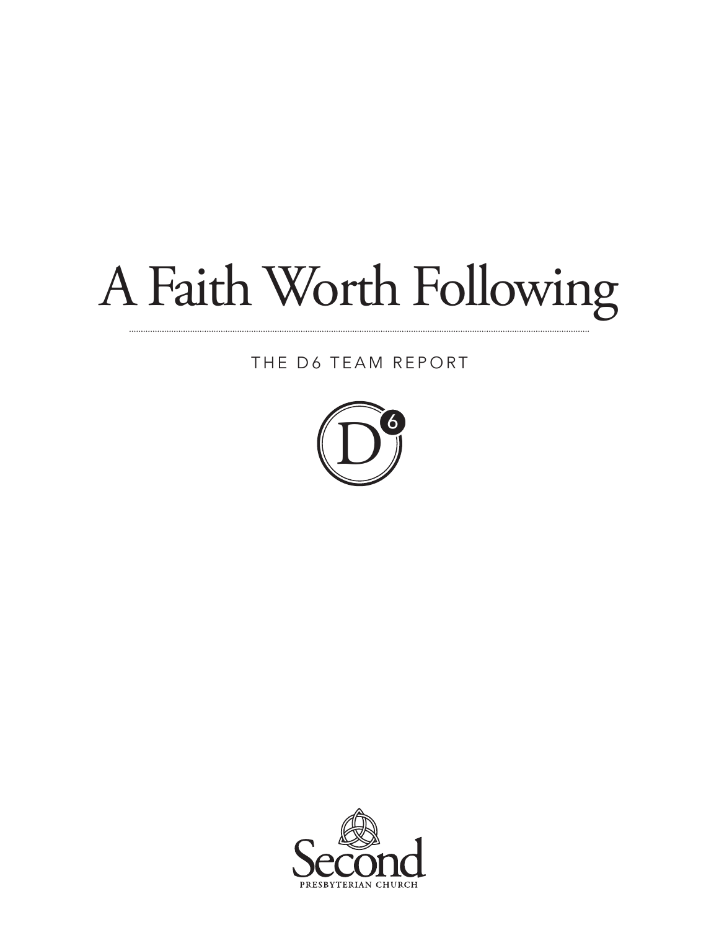# A Faith Worth Following

### THE D6 TEAM REPORT



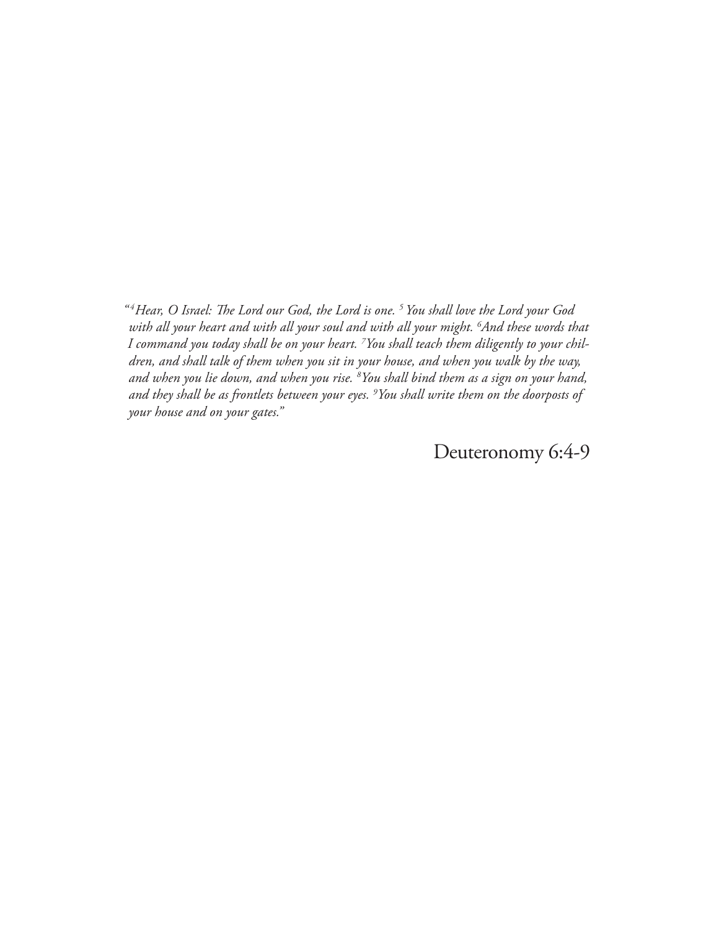*" 4Hear, O Israel: The Lord our God, the Lord is one. 5 You shall love the Lord your God with all your heart and with all your soul and with all your might. 6 And these words that I command you today shall be on your heart. 7 You shall teach them diligently to your children, and shall talk of them when you sit in your house, and when you walk by the way, and when you lie down, and when you rise. 8 You shall bind them as a sign on your hand, and they shall be as frontlets between your eyes. 9 You shall write them on the doorposts of your house and on your gates."*

### Deuteronomy 6:4-9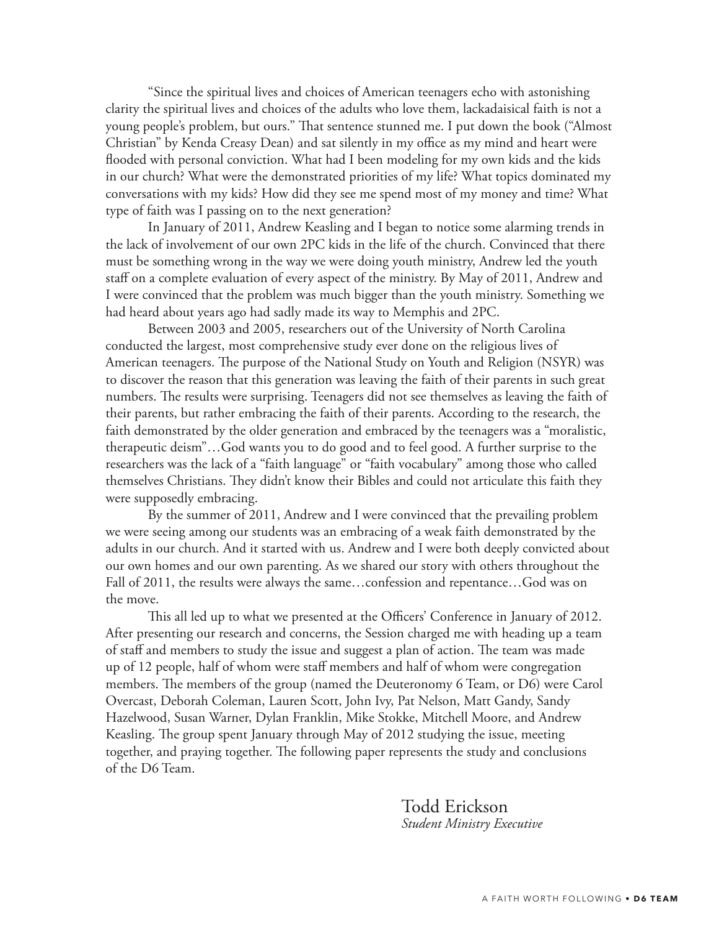"Since the spiritual lives and choices of American teenagers echo with astonishing clarity the spiritual lives and choices of the adults who love them, lackadaisical faith is not a young people's problem, but ours." That sentence stunned me. I put down the book ("Almost Christian" by Kenda Creasy Dean) and sat silently in my office as my mind and heart were flooded with personal conviction. What had I been modeling for my own kids and the kids in our church? What were the demonstrated priorities of my life? What topics dominated my conversations with my kids? How did they see me spend most of my money and time? What type of faith was I passing on to the next generation?

In January of 2011, Andrew Keasling and I began to notice some alarming trends in the lack of involvement of our own 2PC kids in the life of the church. Convinced that there must be something wrong in the way we were doing youth ministry, Andrew led the youth staff on a complete evaluation of every aspect of the ministry. By May of 2011, Andrew and I were convinced that the problem was much bigger than the youth ministry. Something we had heard about years ago had sadly made its way to Memphis and 2PC.

Between 2003 and 2005, researchers out of the University of North Carolina conducted the largest, most comprehensive study ever done on the religious lives of American teenagers. The purpose of the National Study on Youth and Religion (NSYR) was to discover the reason that this generation was leaving the faith of their parents in such great numbers. The results were surprising. Teenagers did not see themselves as leaving the faith of their parents, but rather embracing the faith of their parents. According to the research, the faith demonstrated by the older generation and embraced by the teenagers was a "moralistic, therapeutic deism"…God wants you to do good and to feel good. A further surprise to the researchers was the lack of a "faith language" or "faith vocabulary" among those who called themselves Christians. They didn't know their Bibles and could not articulate this faith they were supposedly embracing.

By the summer of 2011, Andrew and I were convinced that the prevailing problem we were seeing among our students was an embracing of a weak faith demonstrated by the adults in our church. And it started with us. Andrew and I were both deeply convicted about our own homes and our own parenting. As we shared our story with others throughout the Fall of 2011, the results were always the same…confession and repentance…God was on the move.

This all led up to what we presented at the Officers' Conference in January of 2012. After presenting our research and concerns, the Session charged me with heading up a team of staff and members to study the issue and suggest a plan of action. The team was made up of 12 people, half of whom were staff members and half of whom were congregation members. The members of the group (named the Deuteronomy 6 Team, or D6) were Carol Overcast, Deborah Coleman, Lauren Scott, John Ivy, Pat Nelson, Matt Gandy, Sandy Hazelwood, Susan Warner, Dylan Franklin, Mike Stokke, Mitchell Moore, and Andrew Keasling. The group spent January through May of 2012 studying the issue, meeting together, and praying together. The following paper represents the study and conclusions of the D6 Team.

> Todd Erickson *Student Ministry Executive*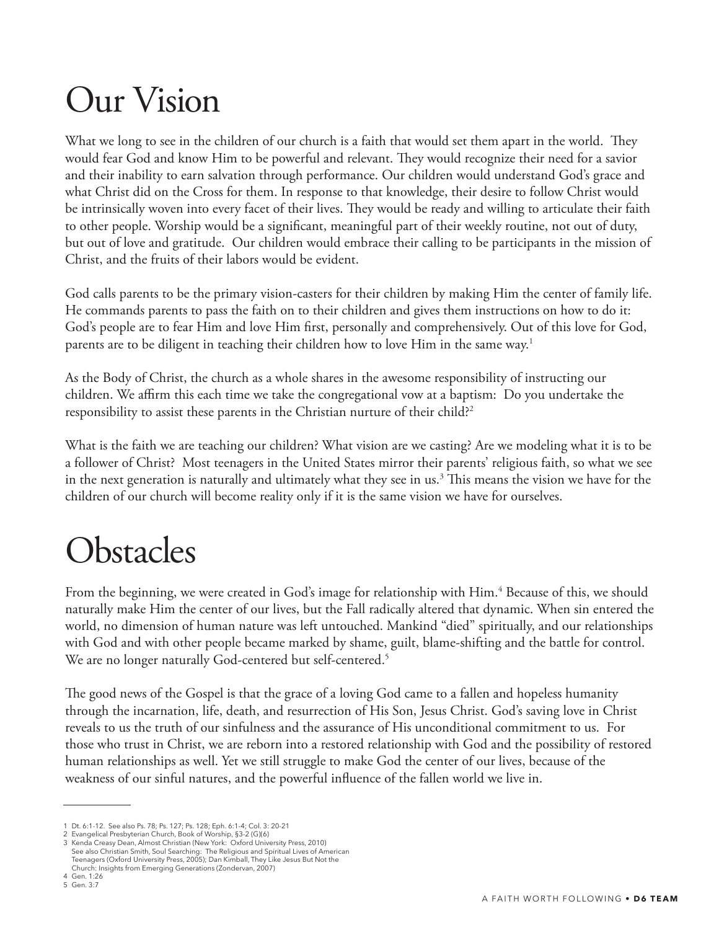### Our Vision

What we long to see in the children of our church is a faith that would set them apart in the world. They would fear God and know Him to be powerful and relevant. They would recognize their need for a savior and their inability to earn salvation through performance. Our children would understand God's grace and what Christ did on the Cross for them. In response to that knowledge, their desire to follow Christ would be intrinsically woven into every facet of their lives. They would be ready and willing to articulate their faith to other people. Worship would be a significant, meaningful part of their weekly routine, not out of duty, but out of love and gratitude. Our children would embrace their calling to be participants in the mission of Christ, and the fruits of their labors would be evident.

God calls parents to be the primary vision-casters for their children by making Him the center of family life. He commands parents to pass the faith on to their children and gives them instructions on how to do it: God's people are to fear Him and love Him first, personally and comprehensively. Out of this love for God, parents are to be diligent in teaching their children how to love Him in the same way.1

As the Body of Christ, the church as a whole shares in the awesome responsibility of instructing our children. We affirm this each time we take the congregational vow at a baptism: Do you undertake the responsibility to assist these parents in the Christian nurture of their child?<sup>2</sup>

What is the faith we are teaching our children? What vision are we casting? Are we modeling what it is to be a follower of Christ? Most teenagers in the United States mirror their parents' religious faith, so what we see in the next generation is naturally and ultimately what they see in us.<sup>3</sup> This means the vision we have for the children of our church will become reality only if it is the same vision we have for ourselves.

### **Obstacles**

From the beginning, we were created in God's image for relationship with Him.<sup>4</sup> Because of this, we should naturally make Him the center of our lives, but the Fall radically altered that dynamic. When sin entered the world, no dimension of human nature was left untouched. Mankind "died" spiritually, and our relationships with God and with other people became marked by shame, guilt, blame-shifting and the battle for control. We are no longer naturally God-centered but self-centered.<sup>5</sup>

The good news of the Gospel is that the grace of a loving God came to a fallen and hopeless humanity through the incarnation, life, death, and resurrection of His Son, Jesus Christ. God's saving love in Christ reveals to us the truth of our sinfulness and the assurance of His unconditional commitment to us. For those who trust in Christ, we are reborn into a restored relationship with God and the possibility of restored human relationships as well. Yet we still struggle to make God the center of our lives, because of the weakness of our sinful natures, and the powerful influence of the fallen world we live in.

<sup>1</sup> Dt. 6:1-12. See also Ps. 78; Ps. 127; Ps. 128; Eph. 6:1-4; Col. 3: 20-21 2 Evangelical Presbyterian Church, Book of Worship, §3-2 (G)(6)

<sup>3</sup> Kenda Creasy Dean, Almost Christian (New York: Oxford University Press, 2010) See also Christian Smith, Soul Searching: The Religious and Spiritual Lives of American Teenagers (Oxford University Press, 2005); Dan Kimball, They Like Jesus But Not the Church: Insights from Emerging Generations (Zondervan, 2007)

<sup>4</sup> Gen. 1:26 5 Gen. 3:7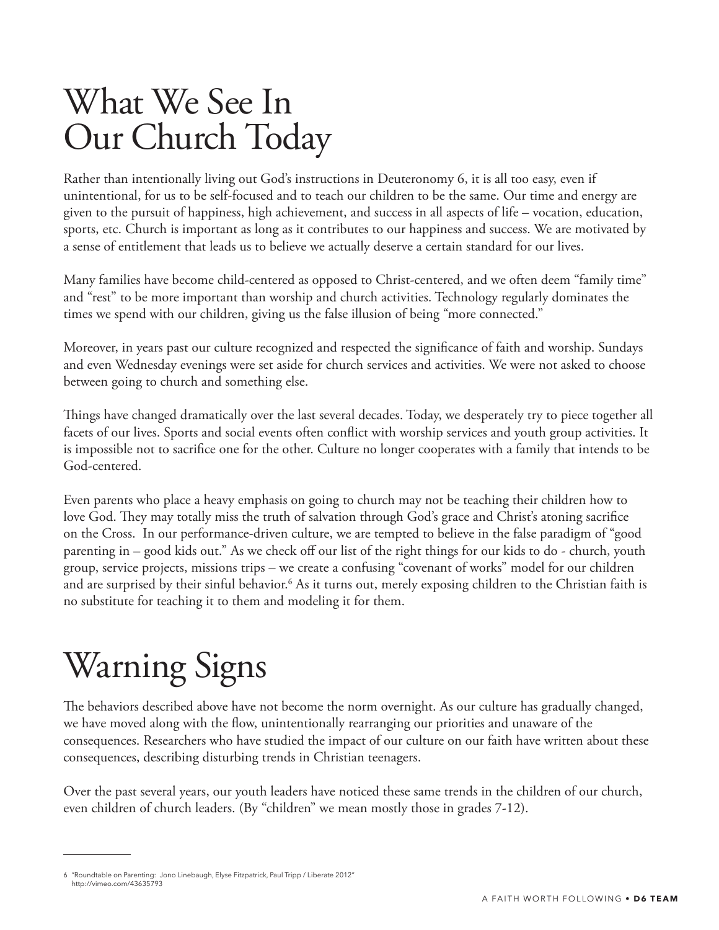### What We See In Our Church Today

Rather than intentionally living out God's instructions in Deuteronomy 6, it is all too easy, even if unintentional, for us to be self-focused and to teach our children to be the same. Our time and energy are given to the pursuit of happiness, high achievement, and success in all aspects of life – vocation, education, sports, etc. Church is important as long as it contributes to our happiness and success. We are motivated by a sense of entitlement that leads us to believe we actually deserve a certain standard for our lives.

Many families have become child-centered as opposed to Christ-centered, and we often deem "family time" and "rest" to be more important than worship and church activities. Technology regularly dominates the times we spend with our children, giving us the false illusion of being "more connected."

Moreover, in years past our culture recognized and respected the significance of faith and worship. Sundays and even Wednesday evenings were set aside for church services and activities. We were not asked to choose between going to church and something else.

Things have changed dramatically over the last several decades. Today, we desperately try to piece together all facets of our lives. Sports and social events often conflict with worship services and youth group activities. It is impossible not to sacrifice one for the other. Culture no longer cooperates with a family that intends to be God-centered.

Even parents who place a heavy emphasis on going to church may not be teaching their children how to love God. They may totally miss the truth of salvation through God's grace and Christ's atoning sacrifice on the Cross. In our performance-driven culture, we are tempted to believe in the false paradigm of "good parenting in – good kids out." As we check off our list of the right things for our kids to do - church, youth group, service projects, missions trips – we create a confusing "covenant of works" model for our children and are surprised by their sinful behavior.<sup>6</sup> As it turns out, merely exposing children to the Christian faith is no substitute for teaching it to them and modeling it for them.

# Warning Signs

The behaviors described above have not become the norm overnight. As our culture has gradually changed, we have moved along with the flow, unintentionally rearranging our priorities and unaware of the consequences. Researchers who have studied the impact of our culture on our faith have written about these consequences, describing disturbing trends in Christian teenagers.

Over the past several years, our youth leaders have noticed these same trends in the children of our church, even children of church leaders. (By "children" we mean mostly those in grades 7-12).

<sup>6</sup> "Roundtable on Parenting: Jono Linebaugh, Elyse Fitzpatrick, Paul Tripp / Liberate 2012" http://vimeo.com/43635793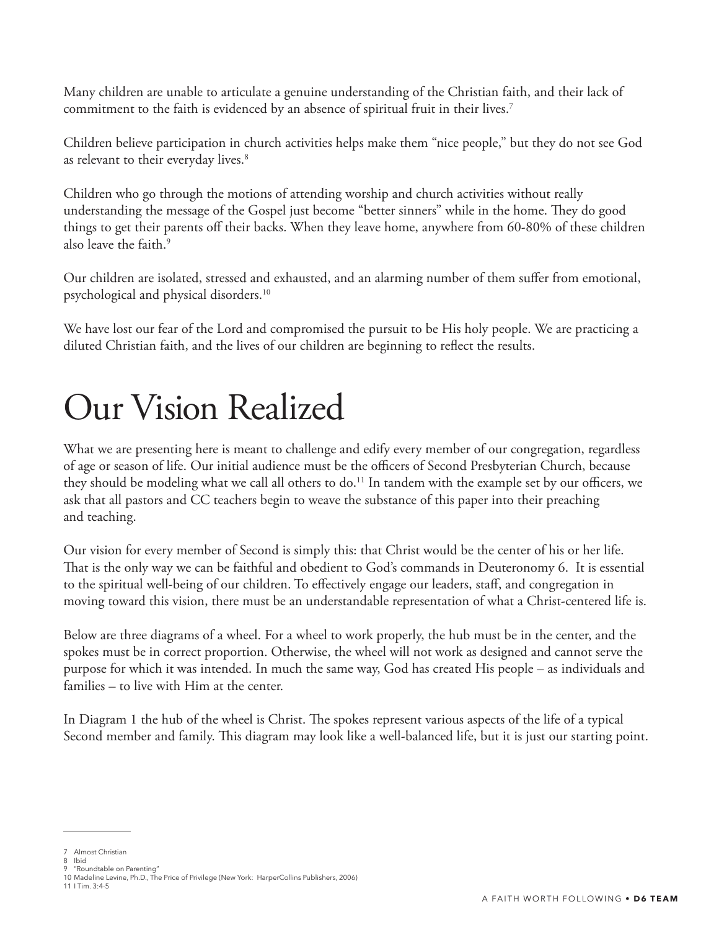Many children are unable to articulate a genuine understanding of the Christian faith, and their lack of commitment to the faith is evidenced by an absence of spiritual fruit in their lives.<sup>7</sup>

Children believe participation in church activities helps make them "nice people," but they do not see God as relevant to their everyday lives.<sup>8</sup>

Children who go through the motions of attending worship and church activities without really understanding the message of the Gospel just become "better sinners" while in the home. They do good things to get their parents off their backs. When they leave home, anywhere from 60-80% of these children also leave the faith.<sup>9</sup>

Our children are isolated, stressed and exhausted, and an alarming number of them suffer from emotional, psychological and physical disorders.10

We have lost our fear of the Lord and compromised the pursuit to be His holy people. We are practicing a diluted Christian faith, and the lives of our children are beginning to reflect the results.

# Our Vision Realized

What we are presenting here is meant to challenge and edify every member of our congregation, regardless of age or season of life. Our initial audience must be the officers of Second Presbyterian Church, because they should be modeling what we call all others to do.<sup>11</sup> In tandem with the example set by our officers, we ask that all pastors and CC teachers begin to weave the substance of this paper into their preaching and teaching.

Our vision for every member of Second is simply this: that Christ would be the center of his or her life. That is the only way we can be faithful and obedient to God's commands in Deuteronomy 6. It is essential to the spiritual well-being of our children. To effectively engage our leaders, staff, and congregation in moving toward this vision, there must be an understandable representation of what a Christ-centered life is.

Below are three diagrams of a wheel. For a wheel to work properly, the hub must be in the center, and the spokes must be in correct proportion. Otherwise, the wheel will not work as designed and cannot serve the purpose for which it was intended. In much the same way, God has created His people – as individuals and families – to live with Him at the center.

In Diagram 1 the hub of the wheel is Christ. The spokes represent various aspects of the life of a typical Second member and family. This diagram may look like a well-balanced life, but it is just our starting point.

<sup>7</sup> Almost Christian

<sup>8</sup> Ibid 9 "Roundtable on Parenting" 10 Madeline Levine, Ph.D., The Price of Privilege (New York: HarperCollins Publishers, 2006)

<sup>11</sup> I Tim. 3:4-5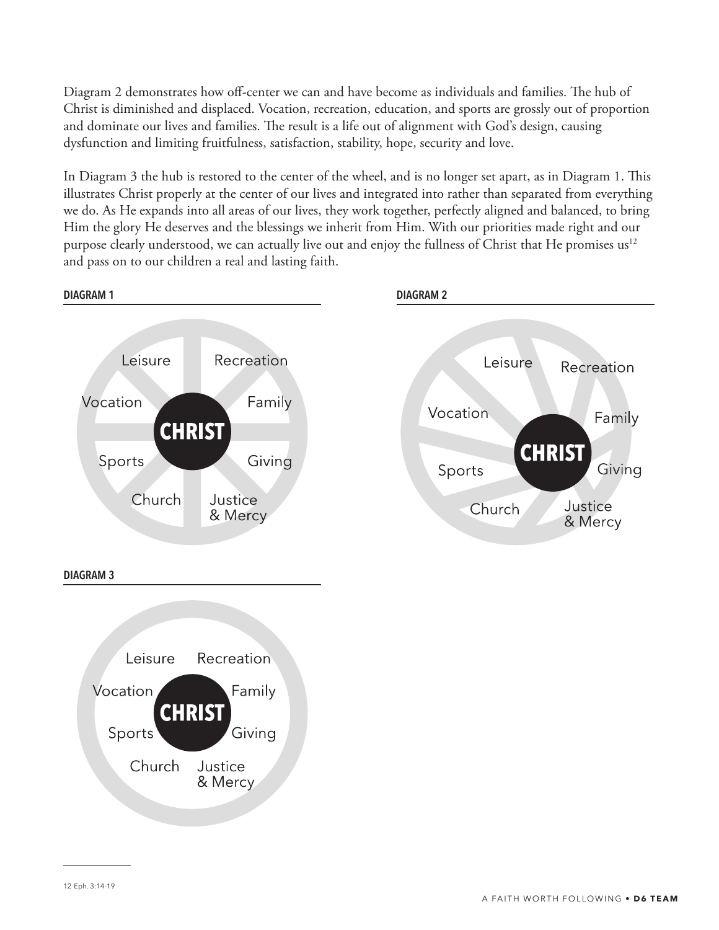Diagram 2 demonstrates how off-center we can and have become as individuals and families. The hub of Christ is diminished and displaced. Vocation, recreation, education, and sports are grossly out of proportion and dominate our lives and families. The result is a life out of alignment with God's design, causing dysfunction and limiting fruitfulness, satisfaction, stability, hope, security and love.

In Diagram 3 the hub is restored to the center of the wheel, and is no longer set apart, as in Diagram 1. This illustrates Christ properly at the center of our lives and integrated into rather than separated from everything we do. As He expands into all areas of our lives, they work together, perfectly aligned and balanced, to bring Him the glory He deserves and the blessings we inherit from Him. With our priorities made right and our purpose clearly understood, we can actually live out and enjoy the fullness of Christ that He promises us<sup>12</sup> and pass on to our children a real and lasting faith.